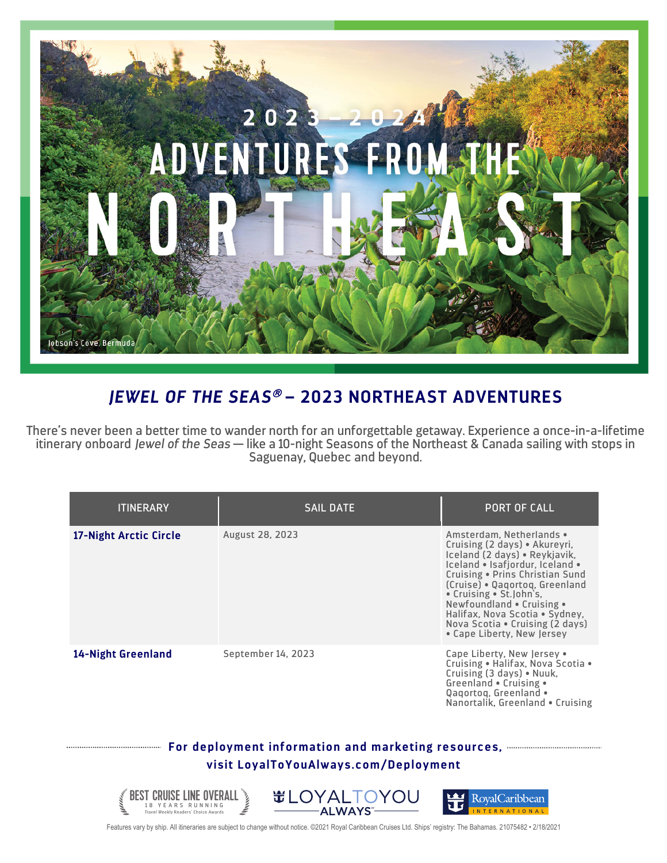

## *JEWEL OF THE SEAS*<sup>â</sup> **– 2023 NORTHEAST ADVENTURES**

There's never been a better time to wander north for an unforgettable getaway. Experience a once-in-a-lifetime itinerary onboard *Jewel of the Seas* — like a 10-night Seasons of the Northeast & Canada sailing with stops in Saguenay, Quebec and beyond.

| <b>ITINERARY</b>                                                                                                                                        | <b>SAIL DATE</b>       | <b>PORT OF CALL</b>                                                                                                                                                                                                                                                                                                                                           |  |
|---------------------------------------------------------------------------------------------------------------------------------------------------------|------------------------|---------------------------------------------------------------------------------------------------------------------------------------------------------------------------------------------------------------------------------------------------------------------------------------------------------------------------------------------------------------|--|
| 17-Night Arctic Circle                                                                                                                                  | <b>August 28, 2023</b> | Amsterdam, Netherlands .<br>Cruising (2 days) • Akureyri,<br>Iceland (2 days) · Reykjavik,<br>Iceland . Isafjordur, Iceland .<br>Cruising . Prins Christian Sund<br>(Cruise) · Qagortog, Greenland<br>• Cruising • St.John's,<br>Newfoundland • Cruising •<br>Halifax, Nova Scotia • Sydney,<br>Nova Scotia • Cruising (2 days)<br>• Cape Liberty, New Jersey |  |
| 14-Night Greenland                                                                                                                                      | September 14, 2023     | Cape Liberty, New Jersey .<br>Cruising • Halifax, Nova Scotia •<br>Cruising (3 days) • Nuuk,<br>Greenland • Cruising •<br>Qagortog, Greenland .<br>Nanortalik, Greenland • Cruising                                                                                                                                                                           |  |
| For deployment information and marketing resources, manufacture and the resources, and the resonance of the re<br>visit LoyalToYouAlways.com/Deployment |                        |                                                                                                                                                                                                                                                                                                                                                               |  |



Features vary by ship. All itineraries are subject to change without notice. ©2021 Royal Caribbean Cruises Ltd. Ships' registry: The Bahamas. 21075482 • 2/18/2021